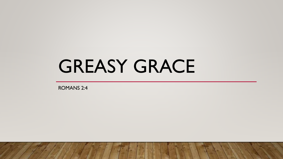## GREASY GRACE

ROMANS 2:4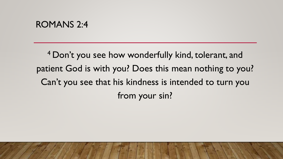## ROMANS 2:4

<sup>4</sup> Don't you see how wonderfully kind, tolerant, and patient God is with you? Does this mean nothing to you? Can't you see that his kindness is intended to turn you from your sin?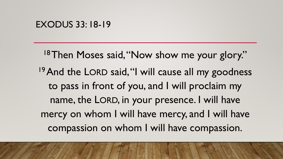<sup>18</sup>Then Moses said, "Now show me your glory." <sup>19</sup> And the LORD said, "I will cause all my goodness to pass in front of you, and I will proclaim my name, the LORD, in your presence. I will have mercy on whom I will have mercy, and I will have compassion on whom I will have compassion.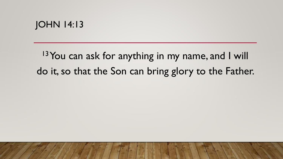$13$  You can ask for anything in my name, and I will do it, so that the Son can bring glory to the Father.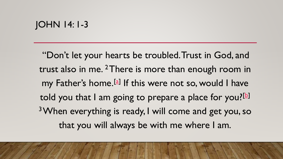## JOHN 14: 1-3

"Don't let your hearts be troubled. Trust in God, and trust also in me. <sup>2</sup>There is more than enough room in my Father's home.<sup>[\[a\]](https://www.biblegateway.com/passage/?search=John+14:1-3&version=NLT#fen-NLT-26636a)</sup> If this were not so, would I have told you that I am going to prepare a place for you?<sup>[\[b](https://www.biblegateway.com/passage/?search=John+14:1-3&version=NLT#fen-NLT-26636b)]</sup> <sup>3</sup>When everything is ready, I will come and get you, so that you will always be with me where I am.